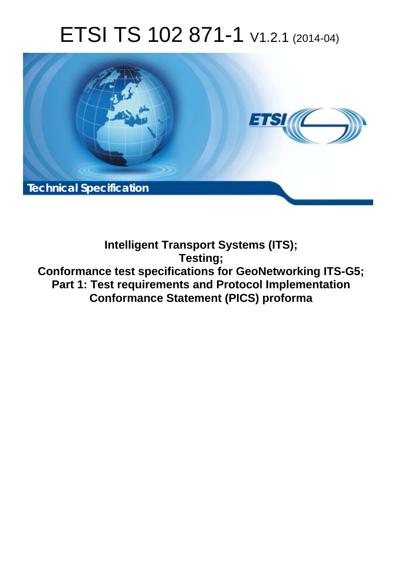# ETSI TS 102 871-1 V1.2.1 (2014-04)



**Intelligent Transport Systems (ITS); Testing; Conformance test specifications for GeoNetworking ITS-G5; Part 1: Test requirements and Protocol Implementation Conformance Statement (PICS) proforma**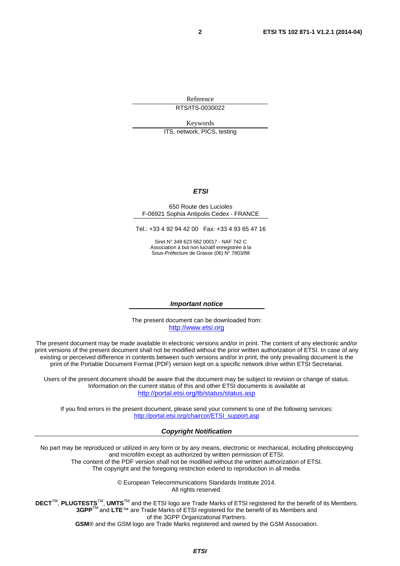Reference RTS/ITS-0030022

Keywords

ITS, network, PICS, testing

### *ETSI*

#### 650 Route des Lucioles F-06921 Sophia Antipolis Cedex - FRANCE

Tel.: +33 4 92 94 42 00 Fax: +33 4 93 65 47 16

Siret N° 348 623 562 00017 - NAF 742 C Association à but non lucratif enregistrée à la Sous-Préfecture de Grasse (06) N° 7803/88

#### *Important notice*

The present document can be downloaded from: [http://www.etsi.org](http://www.etsi.org/)

The present document may be made available in electronic versions and/or in print. The content of any electronic and/or print versions of the present document shall not be modified without the prior written authorization of ETSI. In case of any existing or perceived difference in contents between such versions and/or in print, the only prevailing document is the print of the Portable Document Format (PDF) version kept on a specific network drive within ETSI Secretariat.

Users of the present document should be aware that the document may be subject to revision or change of status. Information on the current status of this and other ETSI documents is available at <http://portal.etsi.org/tb/status/status.asp>

If you find errors in the present document, please send your comment to one of the following services: [http://portal.etsi.org/chaircor/ETSI\\_support.asp](http://portal.etsi.org/chaircor/ETSI_support.asp)

#### *Copyright Notification*

No part may be reproduced or utilized in any form or by any means, electronic or mechanical, including photocopying and microfilm except as authorized by written permission of ETSI. The content of the PDF version shall not be modified without the written authorization of ETSI.

The copyright and the foregoing restriction extend to reproduction in all media.

© European Telecommunications Standards Institute 2014. All rights reserved.

**DECT**TM, **PLUGTESTS**TM, **UMTS**TM and the ETSI logo are Trade Marks of ETSI registered for the benefit of its Members. **3GPP**TM and **LTE**™ are Trade Marks of ETSI registered for the benefit of its Members and of the 3GPP Organizational Partners. **GSM**® and the GSM logo are Trade Marks registered and owned by the GSM Association.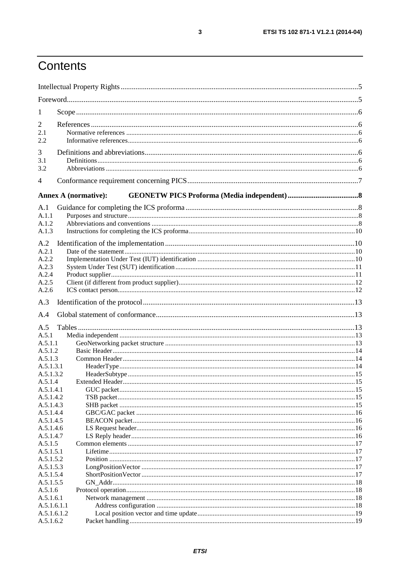## Contents

| 1                      |                                 |  |
|------------------------|---------------------------------|--|
| 2                      |                                 |  |
| 2.1                    |                                 |  |
| 2.2                    |                                 |  |
| 3                      |                                 |  |
| 3.1                    |                                 |  |
| 3.2                    |                                 |  |
| 4                      |                                 |  |
|                        | <b>Annex A (normative):</b>     |  |
|                        |                                 |  |
| A.1<br>A.1.1           |                                 |  |
| A.1.2                  |                                 |  |
| A.1.3                  |                                 |  |
|                        |                                 |  |
| A.2                    |                                 |  |
| A.2.1                  |                                 |  |
| A.2.2                  |                                 |  |
| A.2.3<br>A.2.4         |                                 |  |
| A.2.5                  |                                 |  |
| A.2.6                  |                                 |  |
| A.3                    |                                 |  |
|                        |                                 |  |
| A.4                    |                                 |  |
| A.5                    |                                 |  |
| A.5.1                  |                                 |  |
| A.5.1.1                |                                 |  |
| A.5.1.2                |                                 |  |
| A.5.1.3                |                                 |  |
| A.5.1.3.1<br>A.5.1.3.2 |                                 |  |
| A.5.1.4                | Extended Header <b>Extended</b> |  |
| A.5.1.4.1              |                                 |  |
| A.5.1.4.2              |                                 |  |
| A.5.1.4.3              |                                 |  |
| A.5.1.4.4              |                                 |  |
| A.5.1.4.5              |                                 |  |
| A.5.1.4.6              |                                 |  |
| A.5.1.4.7              |                                 |  |
| A.5.1.5                |                                 |  |
| A.5.1.5.1              |                                 |  |
| A.5.1.5.2              |                                 |  |
| A.5.1.5.3              |                                 |  |
| A.5.1.5.4<br>A.5.1.5.5 |                                 |  |
| A.5.1.6                |                                 |  |
| A.5.1.6.1              |                                 |  |
| A.5.1.6.1.1            |                                 |  |
| A.5.1.6.1.2            |                                 |  |
| A.5.1.6.2              |                                 |  |
|                        |                                 |  |

 $\mathbf{3}$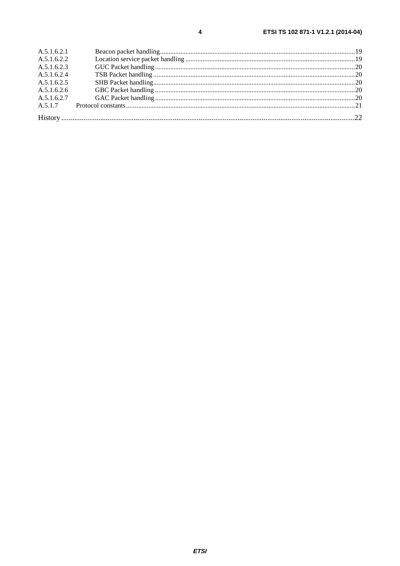| A.5.1.6.2.1 |  |
|-------------|--|
| A.5.1.6.2.2 |  |
| A.5.1.6.2.3 |  |
| A.5.1.6.2.4 |  |
| A.5.1.6.2.5 |  |
| A.5.1.6.2.6 |  |
| A.5.1.6.2.7 |  |
|             |  |
|             |  |
|             |  |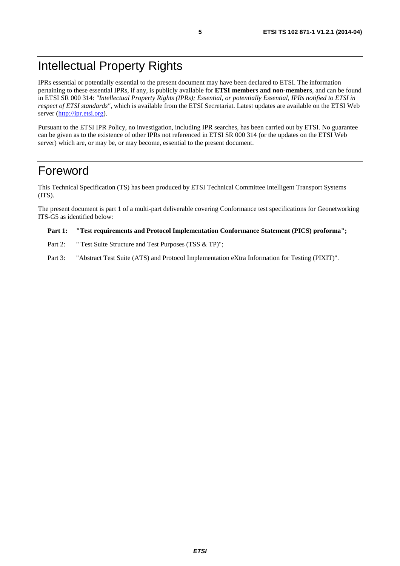## Intellectual Property Rights

IPRs essential or potentially essential to the present document may have been declared to ETSI. The information pertaining to these essential IPRs, if any, is publicly available for **ETSI members and non-members**, and can be found in ETSI SR 000 314: *"Intellectual Property Rights (IPRs); Essential, or potentially Essential, IPRs notified to ETSI in respect of ETSI standards"*, which is available from the ETSI Secretariat. Latest updates are available on the ETSI Web server ([http://ipr.etsi.org\)](http://webapp.etsi.org/IPR/home.asp).

Pursuant to the ETSI IPR Policy, no investigation, including IPR searches, has been carried out by ETSI. No guarantee can be given as to the existence of other IPRs not referenced in ETSI SR 000 314 (or the updates on the ETSI Web server) which are, or may be, or may become, essential to the present document.

## Foreword

This Technical Specification (TS) has been produced by ETSI Technical Committee Intelligent Transport Systems (ITS).

The present document is part 1 of a multi-part deliverable covering Conformance test specifications for Geonetworking ITS-G5 as identified below:

#### **Part 1: "Test requirements and Protocol Implementation Conformance Statement (PICS) proforma";**

- Part 2: " Test Suite Structure and Test Purposes (TSS & TP)";
- Part 3: "Abstract Test Suite (ATS) and Protocol Implementation eXtra Information for Testing (PIXIT)".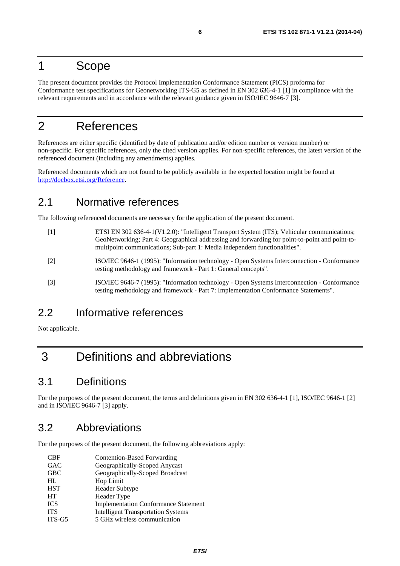## 1 Scope

The present document provides the Protocol Implementation Conformance Statement (PICS) proforma for Conformance test specifications for Geonetworking ITS-G5 as defined in EN 302 636-4-1 [1] in compliance with the relevant requirements and in accordance with the relevant guidance given in ISO/IEC 9646-7 [3].

## 2 References

References are either specific (identified by date of publication and/or edition number or version number) or non-specific. For specific references, only the cited version applies. For non-specific references, the latest version of the referenced document (including any amendments) applies.

Referenced documents which are not found to be publicly available in the expected location might be found at [http://docbox.etsi.org/Reference.](http://docbox.etsi.org/Reference)

### 2.1 Normative references

The following referenced documents are necessary for the application of the present document.

- [1] ETSI EN 302 636-4-1(V1.2.0): "Intelligent Transport System (ITS); Vehicular communications; GeoNetworking; Part 4: Geographical addressing and forwarding for point-to-point and point-tomultipoint communications; Sub-part 1: Media independent functionalities".
- [2] ISO/IEC 9646-1 (1995): "Information technology Open Systems Interconnection Conformance testing methodology and framework - Part 1: General concepts".
- [3] ISO/IEC 9646-7 (1995): "Information technology Open Systems Interconnection Conformance testing methodology and framework - Part 7: Implementation Conformance Statements".

## 2.2 Informative references

Not applicable.

## 3 Definitions and abbreviations

## 3.1 Definitions

For the purposes of the present document, the terms and definitions given in EN 302 636-4-1 [1], ISO/IEC 9646-1 [2] and in ISO/IEC 9646-7 [3] apply.

## 3.2 Abbreviations

For the purposes of the present document, the following abbreviations apply:

| <b>CBF</b> | <b>Contention-Based Forwarding</b>          |
|------------|---------------------------------------------|
| <b>GAC</b> | Geographically-Scoped Anycast               |
| <b>GBC</b> | Geographically-Scoped Broadcast             |
| HI.        | Hop Limit                                   |
| <b>HST</b> | <b>Header Subtype</b>                       |
| <b>HT</b>  | Header Type                                 |
| <b>ICS</b> | <b>Implementation Conformance Statement</b> |
| <b>ITS</b> | <b>Intelligent Transportation Systems</b>   |
| $ITS-G5$   | 5 GHz wireless communication                |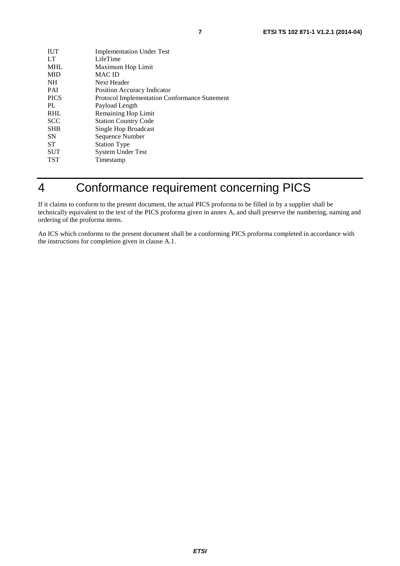| <b>IUT</b>  | <b>Implementation Under Test</b>                     |
|-------------|------------------------------------------------------|
| LT          | LifeTime                                             |
| <b>MHL</b>  | Maximum Hop Limit                                    |
| <b>MID</b>  | <b>MAC ID</b>                                        |
| <b>NH</b>   | Next Header                                          |
| <b>PAI</b>  | <b>Position Accuracy Indicator</b>                   |
| <b>PICS</b> | <b>Protocol Implementation Conformance Statement</b> |
| PL          | Payload Length                                       |
| <b>RHL</b>  | Remaining Hop Limit                                  |
| <b>SCC</b>  | <b>Station Country Code</b>                          |
| <b>SHB</b>  | Single Hop Broadcast                                 |
| <b>SN</b>   | Sequence Number                                      |
| <b>ST</b>   | <b>Station Type</b>                                  |
| <b>SUT</b>  | <b>System Under Test</b>                             |
| <b>TST</b>  | Timestamp                                            |

## 4 Conformance requirement concerning PICS

If it claims to conform to the present document, the actual PICS proforma to be filled in by a supplier shall be technically equivalent to the text of the PICS proforma given in annex A, and shall preserve the numbering, naming and ordering of the proforma items.

An ICS which conforms to the present document shall be a conforming PICS proforma completed in accordance with the instructions for completion given in clause A.1.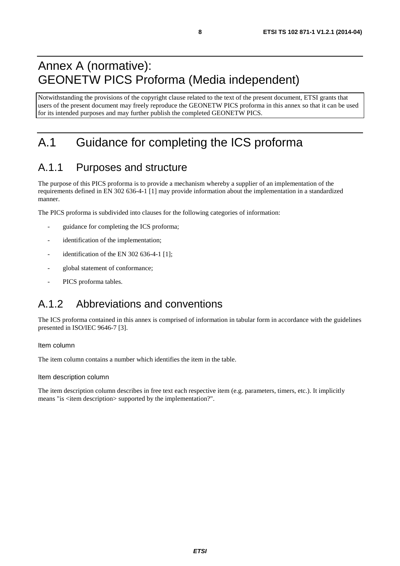## Annex A (normative): GEONETW PICS Proforma (Media independent)

Notwithstanding the provisions of the copyright clause related to the text of the present document, ETSI grants that users of the present document may freely reproduce the GEONETW PICS proforma in this annex so that it can be used for its intended purposes and may further publish the completed GEONETW PICS.

## A.1 Guidance for completing the ICS proforma

## A.1.1 Purposes and structure

The purpose of this PICS proforma is to provide a mechanism whereby a supplier of an implementation of the requirements defined in EN 302 636-4-1 [1] may provide information about the implementation in a standardized manner.

The PICS proforma is subdivided into clauses for the following categories of information:

- guidance for completing the ICS proforma;
- identification of the implementation;
- identification of the EN 302 636-4-1  $[1]$ ;
- global statement of conformance;
- PICS proforma tables.

## A.1.2 Abbreviations and conventions

The ICS proforma contained in this annex is comprised of information in tabular form in accordance with the guidelines presented in ISO/IEC 9646-7 [3].

#### Item column

The item column contains a number which identifies the item in the table.

#### Item description column

The item description column describes in free text each respective item (e.g. parameters, timers, etc.). It implicitly means "is <item description> supported by the implementation?".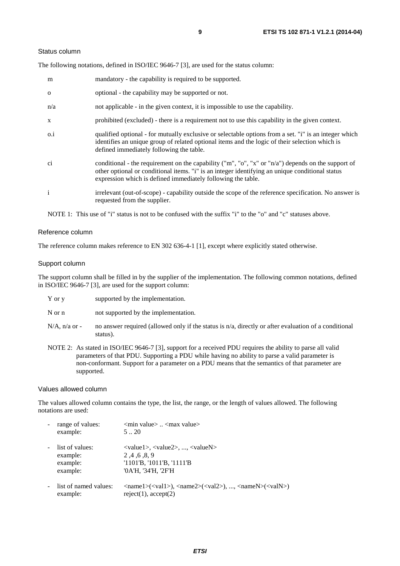#### Status column

The following notations, defined in ISO/IEC 9646-7 [3], are used for the status column:

| m            | mandatory - the capability is required to be supported.                                                                                                                                                                                                               |
|--------------|-----------------------------------------------------------------------------------------------------------------------------------------------------------------------------------------------------------------------------------------------------------------------|
| $\Omega$     | optional - the capability may be supported or not.                                                                                                                                                                                                                    |
| n/a          | not applicable - in the given context, it is impossible to use the capability.                                                                                                                                                                                        |
| $\mathbf{X}$ | prohibited (excluded) - there is a requirement not to use this capability in the given context.                                                                                                                                                                       |
| $0.\dot{1}$  | qualified optional - for mutually exclusive or selectable options from a set. "i" is an integer which<br>identifies an unique group of related optional items and the logic of their selection which is<br>defined immediately following the table.                   |
| ci           | conditional - the requirement on the capability ("m", "o", "x" or "n/a") depends on the support of<br>other optional or conditional items. "i" is an integer identifying an unique conditional status<br>expression which is defined immediately following the table. |
| $\mathbf{i}$ | irrelevant (out-of-scope) - capability outside the scope of the reference specification. No answer is<br>requested from the supplier.                                                                                                                                 |

NOTE 1: This use of "i" status is not to be confused with the suffix "i" to the "o" and "c" statuses above.

#### Reference column

The reference column makes reference to EN 302 636-4-1 [1], except where explicitly stated otherwise.

#### Support column

The support column shall be filled in by the supplier of the implementation. The following common notations, defined in ISO/IEC 9646-7 [3], are used for the support column:

|  | $Y$ or $y$ | supported by the implementation. |
|--|------------|----------------------------------|
|--|------------|----------------------------------|

N or n not supported by the implementation.

- $N/A$ , n/a or no answer required (allowed only if the status is n/a, directly or after evaluation of a conditional status).
- NOTE 2: As stated in ISO/IEC 9646-7 [3], support for a received PDU requires the ability to parse all valid parameters of that PDU. Supporting a PDU while having no ability to parse a valid parameter is non-conformant. Support for a parameter on a PDU means that the semantics of that parameter are supported.

#### Values allowed column

The values allowed column contains the type, the list, the range, or the length of values allowed. The following notations are used:

| range of values:<br>example:                        | $\leq$ min value $>$ $\leq$ max value $>$<br>520                                                                                                                                                            |
|-----------------------------------------------------|-------------------------------------------------------------------------------------------------------------------------------------------------------------------------------------------------------------|
| list of values:<br>example:<br>example:<br>example: | $\langle \text{value1}\rangle, \langle \text{value2}\rangle, , \langle \text{valueN}\rangle$<br>2, 4, 6, 8, 9<br>'1101'B, '1011'B, '1111'B<br>'0A'H, '34'H, '2F'H                                           |
| list of named values:<br>example:                   | $\langle \text{name1}\rangle(\langle \text{val1}\rangle)$ , $\langle \text{name2}\rangle(\langle \text{val2}\rangle)$ , , $\langle \text{nameN}\rangle(\langle \text{valN}\rangle)$<br>reject(1), accept(2) |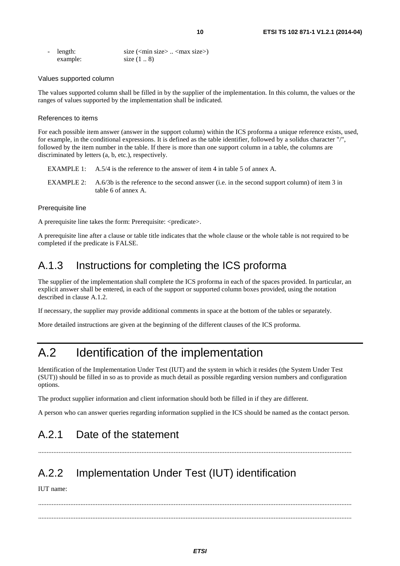| - length: | size $(\text{min size} > \dots < \text{max size})$ |
|-----------|----------------------------------------------------|
| example:  | size $(1 \ldots 8)$                                |

#### Values supported column

The values supported column shall be filled in by the supplier of the implementation. In this column, the values or the ranges of values supported by the implementation shall be indicated.

#### References to items

For each possible item answer (answer in the support column) within the ICS proforma a unique reference exists, used, for example, in the conditional expressions. It is defined as the table identifier, followed by a solidus character "/", followed by the item number in the table. If there is more than one support column in a table, the columns are discriminated by letters (a, b, etc.), respectively.

- EXAMPLE 1: A.5/4 is the reference to the answer of item 4 in table 5 of annex A.
- EXAMPLE 2: A.6/3b is the reference to the second answer (i.e. in the second support column) of item 3 in table 6 of annex A.

#### Prerequisite line

A prerequisite line takes the form: Prerequisite: <predicate>.

A prerequisite line after a clause or table title indicates that the whole clause or the whole table is not required to be completed if the predicate is FALSE.

## A.1.3 Instructions for completing the ICS proforma

The supplier of the implementation shall complete the ICS proforma in each of the spaces provided. In particular, an explicit answer shall be entered, in each of the support or supported column boxes provided, using the notation described in clause A.1.2.

If necessary, the supplier may provide additional comments in space at the bottom of the tables or separately.

More detailed instructions are given at the beginning of the different clauses of the ICS proforma.

## A.2 Identification of the implementation

Identification of the Implementation Under Test (IUT) and the system in which it resides (the System Under Test (SUT)) should be filled in so as to provide as much detail as possible regarding version numbers and configuration options.

The product supplier information and client information should both be filled in if they are different.

A person who can answer queries regarding information supplied in the ICS should be named as the contact person.

.........................................................................................................................................................................................

## A.2.1 Date of the statement

## A.2.2 Implementation Under Test (IUT) identification

IUT name:

 ......................................................................................................................................................................................... .........................................................................................................................................................................................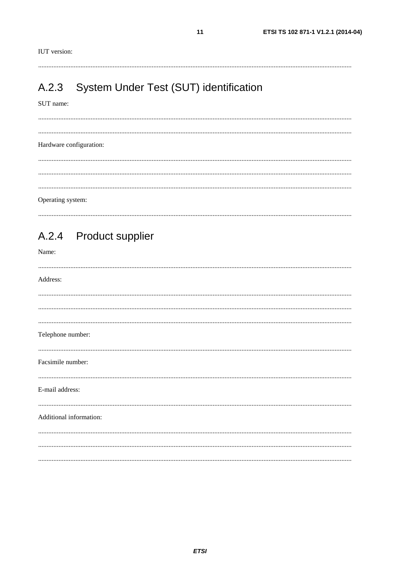$11$ 

#### System Under Test (SUT) identification  $A.2.3$

#### SUT name:

Hardware configuration: Operating system:

#### **Product supplier**  $A.2.4$

Name:

| Address:                |  |
|-------------------------|--|
|                         |  |
|                         |  |
|                         |  |
| Telephone number:       |  |
| Facsimile number:       |  |
| E-mail address:         |  |
| Additional information: |  |
|                         |  |
|                         |  |
|                         |  |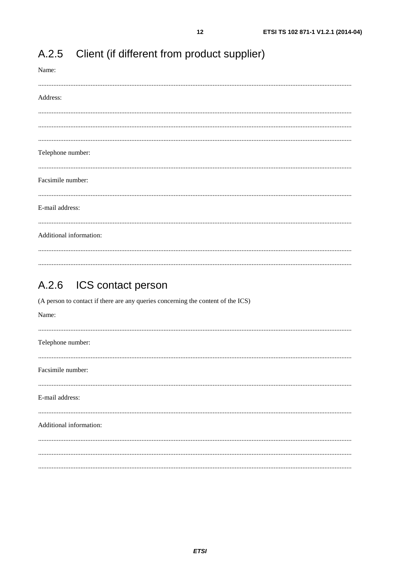| Name:<br>               |
|-------------------------|
| Address:                |
|                         |
|                         |
| Telephone number:       |
|                         |
| Facsimile number:       |
| E-mail address:         |
|                         |
| Additional information: |
|                         |

#### $A.2.5$ Client (if different from product supplier)

#### $A.2.6$ ICS contact person

(A person to contact if there are any queries concerning the content of the ICS)

| Name:                   |  |
|-------------------------|--|
| Telephone number:       |  |
| Facsimile number:       |  |
| E-mail address:         |  |
| Additional information: |  |
|                         |  |
|                         |  |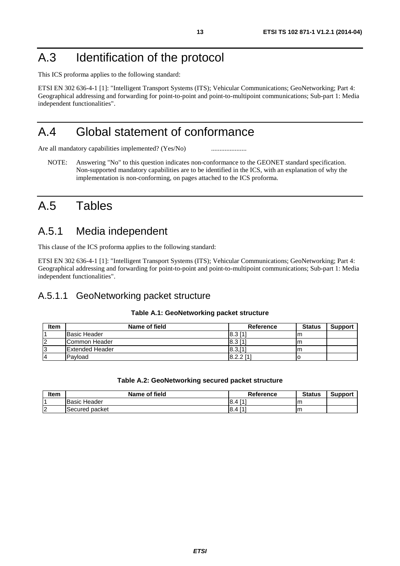## A.3 Identification of the protocol

This ICS proforma applies to the following standard:

ETSI EN 302 636-4-1 [1]: "Intelligent Transport Systems (ITS); Vehicular Communications; GeoNetworking; Part 4: Geographical addressing and forwarding for point-to-point and point-to-multipoint communications; Sub-part 1: Media independent functionalities".

## A.4 Global statement of conformance

Are all mandatory capabilities implemented? (Yes/No) ............................

NOTE: Answering "No" to this question indicates non-conformance to the GEONET standard specification. Non-supported mandatory capabilities are to be identified in the ICS, with an explanation of why the implementation is non-conforming, on pages attached to the ICS proforma.

## A.5 Tables

### A.5.1 Media independent

This clause of the ICS proforma applies to the following standard:

ETSI EN 302 636-4-1 [1]: "Intelligent Transport Systems (ITS); Vehicular Communications; GeoNetworking; Part 4: Geographical addressing and forwarding for point-to-point and point-to-multipoint communications; Sub-part 1: Media independent functionalities".

### A.5.1.1 GeoNetworking packet structure

#### **Table A.1: GeoNetworking packet structure**

| Item | Name of field   | Reference             | <b>Status</b> | <b>Support</b> |
|------|-----------------|-----------------------|---------------|----------------|
|      | Basic Header    | 8.3 1                 | ım            |                |
| 2    | Common Header   | $ 8.3 1$ <sup>*</sup> | ım            |                |
| 13   | Extended Header | 8.3,[1]               | m             |                |
| 14   | Pavload         | $8.2.2$ [1]           |               |                |

#### **Table A.2: GeoNetworking secured packet structure**

| ltem      | Name of field          | <b>Reference</b>             | <b>Status</b> | Support |
|-----------|------------------------|------------------------------|---------------|---------|
|           | Header<br><b>Basic</b> | <b>FA1</b><br>8.<br>Δ        |               |         |
| l o<br>ے، | lSecured.<br>packet    | <b>LA1</b><br><u>8.</u><br>4 | ım            |         |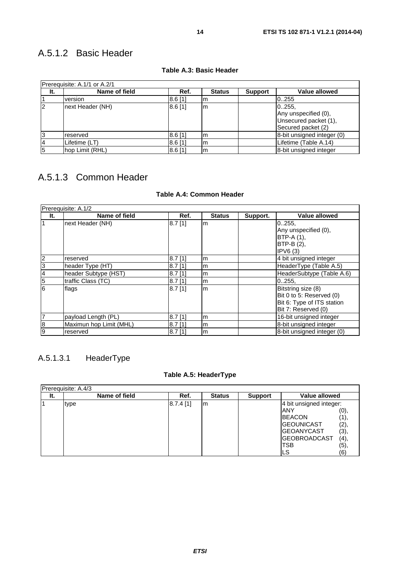### A.5.1.2 Basic Header

| Prerequisite: A.1/1 or A.2/1 |                  |           |               |                |                                                                               |  |  |  |
|------------------------------|------------------|-----------|---------------|----------------|-------------------------------------------------------------------------------|--|--|--|
| It.                          | Name of field    | Ref.      | <b>Status</b> | <b>Support</b> | <b>Value allowed</b>                                                          |  |  |  |
|                              | version          | $8.6$ [1] | Im            |                | 0255                                                                          |  |  |  |
| 2                            | next Header (NH) | $8.6$ [1] | lm            |                | 0.255,<br>Any unspecified (0),<br>Unsecured packet (1),<br>Secured packet (2) |  |  |  |
| l3                           | reserved         | 8.6[1]    | Im            |                | 8-bit unsigned integer (0)                                                    |  |  |  |
| 14                           | Lifetime (LT)    | $8.6$ [1] | m             |                | Lifetime (Table A.14)                                                         |  |  |  |
| 5                            | hop Limit (RHL)  | 8.6[1]    | Im            |                | 8-bit unsigned integer                                                        |  |  |  |

#### **Table A.3: Basic Header**

## A.5.1.3 Common Header

### **Table A.4: Common Header**

|                | Prerequisite: A.1/2     |           |               |          |                                                                                                     |
|----------------|-------------------------|-----------|---------------|----------|-----------------------------------------------------------------------------------------------------|
| It.            | Name of field           | Ref.      | <b>Status</b> | Support. | <b>Value allowed</b>                                                                                |
| $\overline{1}$ | next Header (NH)        | $8.7$ [1] | lm            |          | 0.255.<br>Any unspecified (0),<br>$BTP-A(1)$ ,<br>BTP-B (2),<br>IPV6(3)                             |
| $\overline{2}$ | reserved                | $8.7$ [1] | m             |          | 4 bit unsigned integer                                                                              |
| $\overline{3}$ | header Type (HT)        | $8.7$ [1] | m             |          | HeaderType (Table A.5)                                                                              |
| $\overline{A}$ | header Subtype (HST)    | $8.7$ [1] | m             |          | HeaderSubtype (Table A.6)                                                                           |
| $\overline{5}$ | traffic Class (TC)      | $8.7$ [1] | m             |          | 0.255.                                                                                              |
| $\overline{6}$ | flags                   | $8.7$ [1] | lm            |          | Bitstring size (8)<br>Bit 0 to 5: Reserved (0)<br>Bit 6: Type of ITS station<br>Bit 7: Reserved (0) |
| $\overline{7}$ | payload Length (PL)     | $8.7$ [1] | m             |          | 16-bit unsigned integer                                                                             |
| 8              | Maximun hop Limit (MHL) | $8.7$ [1] | m             |          | 8-bit unsigned integer                                                                              |
| 9              | reserved                | $8.7$ [1] | m             |          | 8-bit unsigned integer (0)                                                                          |

### A.5.1.3.1 HeaderType

### **Table A.5: HeaderType**

|     | <b>Prerequisite: A.4/3</b> |          |               |                |                         |      |
|-----|----------------------------|----------|---------------|----------------|-------------------------|------|
| It. | Name of field              | Ref.     | <b>Status</b> | <b>Support</b> | <b>Value allowed</b>    |      |
|     | type                       | 8.7.4[1] | Im            |                | 4 bit unsigned integer: |      |
|     |                            |          |               |                | ANY                     | (0), |
|     |                            |          |               |                | <b>BEACON</b>           | (1), |
|     |                            |          |               |                | <b>GEOUNICAST</b>       | (2), |
|     |                            |          |               |                | <b>GEOANYCAST</b>       | (3), |
|     |                            |          |               |                | <b>GEOBROADCAST</b>     | (4), |
|     |                            |          |               |                | TSB                     | (5), |
|     |                            |          |               |                | LS                      | (6)  |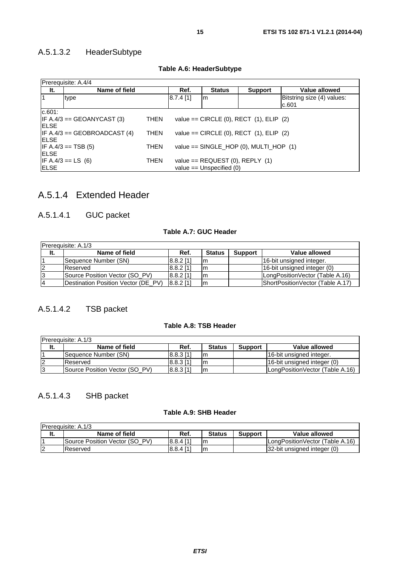### A.5.1.3.2 HeaderSubtype

|              | Prerequisite: A.4/4                                                                          |             |                                                                     |               |                                               |                                     |  |  |  |  |
|--------------|----------------------------------------------------------------------------------------------|-------------|---------------------------------------------------------------------|---------------|-----------------------------------------------|-------------------------------------|--|--|--|--|
| It.          | Name of field                                                                                |             | Ref.                                                                | <b>Status</b> | <b>Support</b>                                | Value allowed                       |  |  |  |  |
|              | type                                                                                         |             | $8.7.4$ [1]                                                         | Im            |                                               | Bitstring size (4) values:<br>c.601 |  |  |  |  |
| c.601:       |                                                                                              |             |                                                                     |               |                                               |                                     |  |  |  |  |
| <b>IELSE</b> | $IF A.4/3 == GEOANYCAST (3)$<br>value == $CIRCLE$ (0), $RECT$ (1), $ELIP$ (2)<br><b>THEN</b> |             |                                                                     |               |                                               |                                     |  |  |  |  |
| <b>IELSE</b> | $IF A.4/3 == GEOBROADCAST (4)$                                                               | <b>THEN</b> |                                                                     |               | value == $CIRCLE$ (0), $RECT$ (1), $ELIP$ (2) |                                     |  |  |  |  |
| <b>IELSE</b> | $IF A.4/3 == TSB (5)$                                                                        | THEN        | value == $SINGLE_HOP$ (0), MULTI_HOP (1)                            |               |                                               |                                     |  |  |  |  |
| <b>IELSE</b> | IF $A.4/3 == LS$ (6)                                                                         | <b>THEN</b> | value == $REQUEST$ (0), $REPLY$ (1)<br>value $==$ Unspecified $(0)$ |               |                                               |                                     |  |  |  |  |

### **Table A.6: HeaderSubtype**

### A.5.1.4 Extended Header

### A.5.1.4.1 GUC packet

### **Table A.7: GUC Header**

| <b>Prerequisite: A.1/3</b> |                                     |             |               |                |                                  |  |  |  |
|----------------------------|-------------------------------------|-------------|---------------|----------------|----------------------------------|--|--|--|
| It.                        | Name of field                       | Ref.        | <b>Status</b> | <b>Support</b> | Value allowed                    |  |  |  |
|                            | Sequence Number (SN)                | $8.8.2$ [1] | Im            |                | 16-bit unsigned integer.         |  |  |  |
| 12                         | Reserved                            | $8.8.2$ [1] | Im            |                | 16-bit unsigned integer (0)      |  |  |  |
| 13                         | Source Position Vector (SO PV)      | $8.8.2$ [1] | lm            |                | LongPositionVector (Table A.16)  |  |  |  |
| $\overline{A}$             | Destination Position Vector (DE PV) | $8.8.2$ [1] | Im            |                | ShortPositionVector (Table A.17) |  |  |  |

### A.5.1.4.2 TSB packet

### **Table A.8: TSB Header**

| <b>IPrerequisite: A.1/3</b> |                                |             |               |                |                                 |  |  |  |  |
|-----------------------------|--------------------------------|-------------|---------------|----------------|---------------------------------|--|--|--|--|
| It.                         | Name of field                  | Ref.        | <b>Status</b> | <b>Support</b> | Value allowed                   |  |  |  |  |
|                             | Sequence Number (SN)           | $8.8.3$ [1] | lm            |                | 16-bit unsigned integer.        |  |  |  |  |
|                             | Reserved                       | $8.8.3$ [1] | lm            |                | 16-bit unsigned integer (0)     |  |  |  |  |
| 13                          | Source Position Vector (SO PV) | [8.8.3]     | lm            |                | LongPositionVector (Table A.16) |  |  |  |  |

### A.5.1.4.3 SHB packet

### **Table A.9: SHB Header**

|          | <b>Prerequisite: A.1/3</b>     |             |               |                |                                 |
|----------|--------------------------------|-------------|---------------|----------------|---------------------------------|
| It.      | Name of field                  | Ref.        | <b>Status</b> | <b>Support</b> | Value allowed                   |
|          | Source Position Vector (SO PV) | $8.8.4$ [1] | Im            |                | LongPositionVector (Table A.16) |
| l Q<br>▵ | Reserved                       | [8.8.4]     | Im            |                | 32-bit unsigned integer (0)     |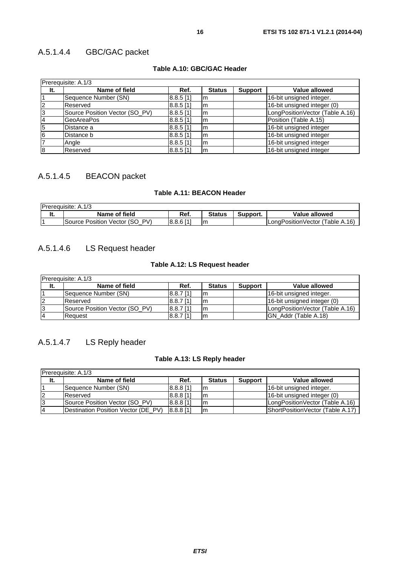### A.5.1.4.4 GBC/GAC packet

### **Table A.10: GBC/GAC Header**

| Prerequisite: A.1/3 |                                |             |               |                |                                 |  |  |  |
|---------------------|--------------------------------|-------------|---------------|----------------|---------------------------------|--|--|--|
| It.                 | Name of field                  | Ref.        | <b>Status</b> | <b>Support</b> | Value allowed                   |  |  |  |
|                     | Sequence Number (SN)           | $8.8.5$ [1] | lm            |                | 16-bit unsigned integer.        |  |  |  |
| 2                   | Reserved                       | $8.8.5$ [1] | lm            |                | 16-bit unsigned integer (0)     |  |  |  |
| 3                   | Source Position Vector (SO_PV) | $8.8.5$ [1] | Im            |                | LongPositionVector (Table A.16) |  |  |  |
|                     | <b>GeoAreaPos</b>              | $8.8.5$ [1] | lm            |                | Position (Table A.15)           |  |  |  |
| 5                   | Distance a                     | $8.8.5$ [1] | lm            |                | 16-bit unsigned integer         |  |  |  |
| 6                   | Distance b                     | $8.8.5$ [1] | lm            |                | 16-bit unsigned integer         |  |  |  |
|                     | Angle                          | $8.8.5$ [1] | Im            |                | 16-bit unsigned integer         |  |  |  |
| 8                   | Reserved                       | $8.8.5$ [1] | Im            |                | 16-bit unsigned integer         |  |  |  |

### A.5.1.4.5 BEACON packet

#### **Table A.11: BEACON Header**

| <b>Prerequisite: A.1/3</b>        |             |               |          |                                 |
|-----------------------------------|-------------|---------------|----------|---------------------------------|
| Name of field                     | Ref.        | <b>Status</b> | Support. | Value allowed                   |
| Source Position Vector (SO<br>PV) | $8.8.6$ [1] | Im            |          | LongPositionVector (Table A.16) |

### A.5.1.4.6 LS Request header

### **Table A.12: LS Request header**

| <b>IPrerequisite: A.1/3</b> |                                |                      |               |                |                                 |  |  |  |
|-----------------------------|--------------------------------|----------------------|---------------|----------------|---------------------------------|--|--|--|
| It.                         | Name of field                  | Ref.                 | <b>Status</b> | <b>Support</b> | Value allowed                   |  |  |  |
|                             | Sequence Number (SN)           | 8.8.7 <sub>[1]</sub> | Im            |                | 16-bit unsigned integer.        |  |  |  |
|                             | Reserved                       | $8.8.7$ [1]          | lm            |                | 16-bit unsigned integer (0)     |  |  |  |
| 13                          | Source Position Vector (SO PV) | $ 8.8.7 1\rangle$    | lm            |                | LongPositionVector (Table A.16) |  |  |  |
| 14                          | Request                        | $8.8.7$ [1]          | Im            |                | IGN Addr (Table A.18)           |  |  |  |

### A.5.1.4.7 LS Reply header

### **Table A.13: LS Reply header**

| Prerequisite: A.1/3 |                                     |             |               |                |                                  |  |  |  |
|---------------------|-------------------------------------|-------------|---------------|----------------|----------------------------------|--|--|--|
| It.                 | Name of field                       | Ref.        | <b>Status</b> | <b>Support</b> | Value allowed                    |  |  |  |
|                     | Sequence Number (SN)                | $8.8.8$ [1] | Im            |                | 16-bit unsigned integer.         |  |  |  |
| 12                  | <b>Reserved</b>                     | $8.8.8$ [1] | Im            |                | 16-bit unsigned integer (0)      |  |  |  |
| 13                  | Source Position Vector (SO PV)      | $8.8.8$ [1] | Im            |                | LongPositionVector (Table A.16)  |  |  |  |
| 14                  | Destination Position Vector (DE PV) | $8.8.8$ [1] | Im            |                | ShortPositionVector (Table A.17) |  |  |  |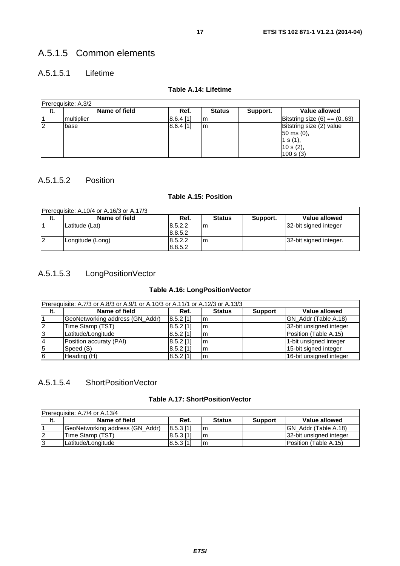### A.5.1.5.1 Lifetime

### **Table A.14: Lifetime**

| Prereguisite: A.3/2 |               |             |               |          |                                                                                          |
|---------------------|---------------|-------------|---------------|----------|------------------------------------------------------------------------------------------|
| It.                 | Name of field | Ref.        | <b>Status</b> | Support. | Value allowed                                                                            |
|                     | multiplier    | 8.6.4 [1]   | Im            |          | Bitstring size $(6) == (0.63)$                                                           |
| 12                  | base          | $8.6.4$ [1] | Im            |          | Bitstring size (2) value<br>$ 50 \text{ ms } (0),$<br>1 s (1),<br>10 s (2),<br>100 s (3) |

### A.5.1.5.2 Position

### **Table A.15: Position**

| Prerequisite: A.10/4 or A.16/3 or A.17/3 |                  |                    |               |          |                        |  |
|------------------------------------------|------------------|--------------------|---------------|----------|------------------------|--|
| It.                                      | Name of field    | Ref.               | <b>Status</b> | Support. | Value allowed          |  |
|                                          | Latitude (Lat)   | 8.5.2.2<br>8.8.5.2 | Im            |          | 32-bit signed integer  |  |
| 12                                       | Longitude (Long) | 8.5.2.2<br>8.8.5.2 | m             |          | 32-bit signed integer. |  |

### A.5.1.5.3 LongPositionVector

### **Table A.16: LongPositionVector**

| Prerequisite: A.7/3 or A.8/3 or A.9/1 or A.10/3 or A.11/1 or A.12/3 or A.13/3 |                                 |             |               |                |                         |  |  |
|-------------------------------------------------------------------------------|---------------------------------|-------------|---------------|----------------|-------------------------|--|--|
| It.                                                                           | Name of field                   | Ref.        | <b>Status</b> | <b>Support</b> | Value allowed           |  |  |
|                                                                               | GeoNetworking address (GN_Addr) | $8.5.2$ [1] | Im            |                | GN_Addr (Table A.18)    |  |  |
| 12                                                                            | Time Stamp (TST)                | $8.5.2$ [1] | Im            |                | 32-bit unsigned integer |  |  |
| l3                                                                            | Latitude/Longitude              | $8.5.2$ [1] | Im            |                | Position (Table A.15)   |  |  |
| 14                                                                            | Position accuraty (PAI)         | $8.5.2$ [1] | Im            |                | 1-bit unsigned integer  |  |  |
| 15                                                                            | Speed (S)                       | $8.5.2$ [1] | Im            |                | 15-bit signed integer   |  |  |
| 6                                                                             | Heading (H)                     | $8.5.2$ [1] | Im            |                | 16-bit unsigned integer |  |  |

### A.5.1.5.4 ShortPositionVector

### **Table A.17: ShortPositionVector**

| Prerequisite: A.7/4 or A.13/4 |                                 |                      |               |                |                         |  |
|-------------------------------|---------------------------------|----------------------|---------------|----------------|-------------------------|--|
| It.                           | Name of field                   | Ref.                 | <b>Status</b> | <b>Support</b> | Value allowed           |  |
|                               | GeoNetworking address (GN Addr) | 8.5.3 11             | Im            |                | IGN Addr (Table A.18)   |  |
| 12                            | Time Stamp (TST)                | 8.5.3 <sub>[1]</sub> | Im            |                | 32-bit unsigned integer |  |
| 13                            | Latitude/Longitude              | $8.5.3$ [1]          | Im            |                | IPosition (Table A.15)  |  |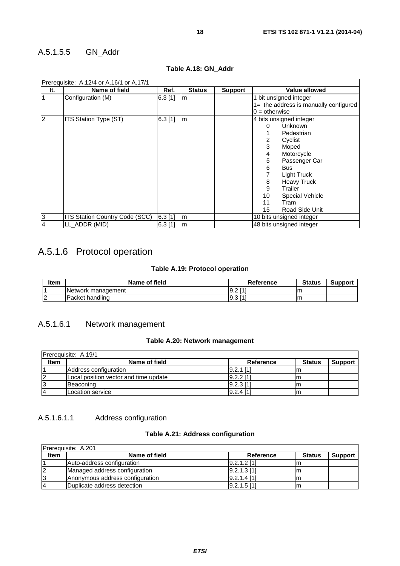### A.5.1.5.5 GN\_Addr

|                | Prerequisite: A.12/4 or A.16/1 or A.17/1 |           |               |                |                                       |  |  |  |  |  |
|----------------|------------------------------------------|-----------|---------------|----------------|---------------------------------------|--|--|--|--|--|
| It.            | Name of field                            | Ref.      | <b>Status</b> | <b>Support</b> | <b>Value allowed</b>                  |  |  |  |  |  |
| 1              | Configuration (M)                        | $6.3$ [1] | m             |                | 1 bit unsigned integer                |  |  |  |  |  |
|                |                                          |           |               |                | 1= the address is manually configured |  |  |  |  |  |
|                |                                          |           |               |                | $0 =$ otherwise                       |  |  |  |  |  |
| $\overline{2}$ | <b>ITS Station Type (ST)</b>             | 6.3[1]    | m             |                | 4 bits unsigned integer               |  |  |  |  |  |
|                |                                          |           |               |                | <b>Unknown</b><br>0                   |  |  |  |  |  |
|                |                                          |           |               |                | Pedestrian                            |  |  |  |  |  |
|                |                                          |           |               |                | Cyclist                               |  |  |  |  |  |
|                |                                          |           |               |                | 3<br>Moped                            |  |  |  |  |  |
|                |                                          |           |               |                | Motorcycle<br>4                       |  |  |  |  |  |
|                |                                          |           |               |                | 5<br>Passenger Car                    |  |  |  |  |  |
|                |                                          |           |               |                | 6<br><b>Bus</b>                       |  |  |  |  |  |
|                |                                          |           |               |                | Light Truck                           |  |  |  |  |  |
|                |                                          |           |               |                | <b>Heavy Truck</b><br>8               |  |  |  |  |  |
|                |                                          |           |               |                | 9<br>Trailer                          |  |  |  |  |  |
|                |                                          |           |               |                | 10<br><b>Special Vehicle</b>          |  |  |  |  |  |
|                |                                          |           |               |                | 11<br>Tram                            |  |  |  |  |  |
|                |                                          |           |               |                | Road Side Unit<br>15                  |  |  |  |  |  |
| 3              | ITS Station Country Code (SCC)           | $6.3$ [1] | m             |                | 10 bits unsigned integer              |  |  |  |  |  |
| $\overline{4}$ | LL ADDR (MID)                            | $6.3$ [1] | lm            |                | 48 bits unsigned integer              |  |  |  |  |  |

### **Table A.18: GN\_Addr**

## A.5.1.6 Protocol operation

### **Table A.19: Protocol operation**

| ltem     | Name of field          | <b>Reference</b>   | <b>Status</b> | <b>Support</b> |
|----------|------------------------|--------------------|---------------|----------------|
|          | Network management     | <b>LA1</b><br>9.2  | ım            |                |
| הו<br>ı∠ | <b>Packet handling</b> | <b>F41</b><br>l9.3 | ım            |                |

### A.5.1.6.1 Network management

### **Table A.20: Network management**

| Prerequisite: A.19/1 |                                       |              |               |                |
|----------------------|---------------------------------------|--------------|---------------|----------------|
| <b>Item</b>          | Name of field                         | Reference    | <b>Status</b> | <b>Support</b> |
|                      | Address configuration                 | $19.2.1$ [1] |               |                |
|                      | Local position vector and time update | $9.2.2$ [1   | m             |                |
|                      | Beaconing                             | [9.2.3]      |               |                |
|                      | Location service                      | $9.2.4$ [1   |               |                |

### A.5.1.6.1.1 Address configuration

### **Table A.21: Address configuration**

|             | Prerequisite: A.201             |                |               |                |
|-------------|---------------------------------|----------------|---------------|----------------|
| <b>Item</b> | Name of field                   | Reference      | <b>Status</b> | <b>Support</b> |
|             | Auto-address configuration      | $19.2.1.2$ [1] | lm            |                |
|             | Managed address configuration   | $9.2.1.3$ [1]  | ım            |                |
|             | Anonymous address configuration | $19.2.1.4$ [1] | lm            |                |
|             | Duplicate address detection     | [9.2.1.5]      | ım            |                |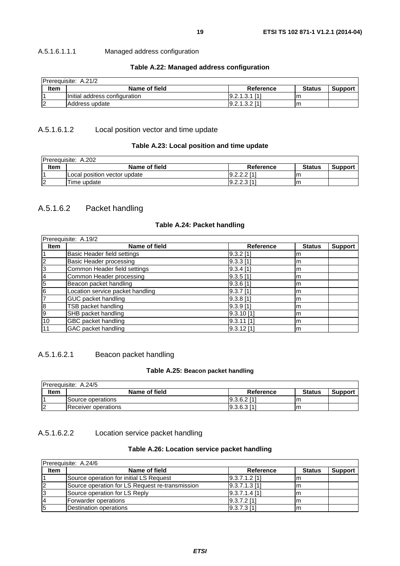A.5.1.6.1.1.1 Managed address configuration

### **Table A.22: Managed address configuration**

|             | Prerequisite: A.21/2          |                   |               |                |
|-------------|-------------------------------|-------------------|---------------|----------------|
| <b>Item</b> | Name of field                 | Reference         | <b>Status</b> | <b>Support</b> |
|             | Initial address configuration | [9.2.1.3.1]       | ıη            |                |
|             | Address update                | $[9.2.1.3.2]$ [1] | ıπ            |                |

### A.5.1.6.1.2 Local position vector and time update

### **Table A.23: Local position and time update**

|             | <b>Prerequisite: A.202</b>   |               |               |                |
|-------------|------------------------------|---------------|---------------|----------------|
| <b>Item</b> | Name of field                | Reference     | <b>Status</b> | <b>Support</b> |
|             | Local position vector update | $9.2.2.2$ [1] | ıη            |                |
|             | Time update                  | $9.2.2.3$ [1] | m             |                |

### A.5.1.6.2 Packet handling

### **Table A.24: Packet handling**

|                | Prerequisite: A.19/2             |                  |               |                |  |
|----------------|----------------------------------|------------------|---------------|----------------|--|
| <b>Item</b>    | Name of field                    | <b>Reference</b> | <b>Status</b> | <b>Support</b> |  |
|                | Basic Header field settings      | $[9.3.2]$ [1]    | m             |                |  |
| $\overline{c}$ | Basic Header processing          | $9.3.3$ [1]      | m             |                |  |
| 3              | Common Header field settings     | $9.3.4$ [1]      | m             |                |  |
| 14             | Common Header processing         | $9.3.5$ [1]      | m             |                |  |
| 5              | Beacon packet handling           | $9.3.6$ [1]      | m             |                |  |
| 6              | Location service packet handling | $[9.3.7]$ [1]    | m             |                |  |
|                | GUC packet handling              | $9.3.8$ [1]      | m             |                |  |
| 8              | TSB packet handling              | $9.3.9$ [1]      | m             |                |  |
| 9              | SHB packet handling              | 9.3.10[1]        | m             |                |  |
| 10             | GBC packet handling              | 19.3.11 [1]      | m             |                |  |
| l 11           | GAC packet handling              | 9.3.12 [1]       | m             |                |  |

### A.5.1.6.2.1 Beacon packet handling

### **Table A.25: Beacon packet handling**

|             | <b>Prerequisite: A.24/5</b> |               |               |                |
|-------------|-----------------------------|---------------|---------------|----------------|
| <b>Item</b> | Name of field               | Reference     | <b>Status</b> | <b>Support</b> |
|             | Source operations           | $9.3.6.2$ [1] | Im            |                |
|             | <b>Receiver operations</b>  | [9.3.6.3]     | Im            |                |

### A.5.1.6.2.2 Location service packet handling

### **Table A.26: Location service packet handling**

| <b>IPrerequisite: A.24/6</b> |                                                 |                   |               |                |  |  |
|------------------------------|-------------------------------------------------|-------------------|---------------|----------------|--|--|
| <b>Item</b>                  | Name of field                                   | Reference         | <b>Status</b> | <b>Support</b> |  |  |
|                              | Source operation for initial LS Request         | $[9.3.7.1.2]$ [1] | ım            |                |  |  |
| 12                           | Source operation for LS Request re-transmission | [9.3.7.1.3]       | ım            |                |  |  |
| 13                           | Source operation for LS Reply                   | [9.3.7.1.4]       | ım            |                |  |  |
| 14                           | Forwarder operations                            | [9.3.7.2]         |               |                |  |  |
| 15                           | Destination operations                          | [9.3.7.3]         |               |                |  |  |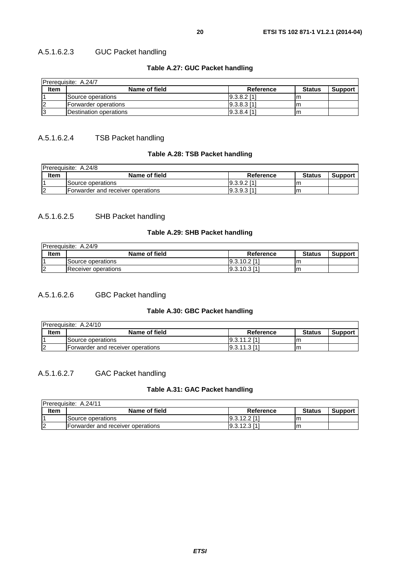### A.5.1.6.2.3 GUC Packet handling

### **Table A.27: GUC Packet handling**

| <b>Prerequisite: A.24/7</b> |                        |                |               |                |  |
|-----------------------------|------------------------|----------------|---------------|----------------|--|
| <b>Item</b>                 | Name of field          | Reference      | <b>Status</b> | <b>Support</b> |  |
|                             | lSource operations     | $9.3.8.2$ [1]  |               |                |  |
|                             | IForwarder operations  | $19.3.8.3$ [1] | ım            |                |  |
|                             | Destination operations | l9.3.8.4 [1]   | ıη            |                |  |

### A.5.1.6.2.4 TSB Packet handling

### **Table A.28: TSB Packet handling**

| IPrerequisite: A.24/8 |                                   |                 |               |                |  |  |
|-----------------------|-----------------------------------|-----------------|---------------|----------------|--|--|
| Item                  | Name of field                     | Reference       | <b>Status</b> | <b>Support</b> |  |  |
|                       | Source operations                 | $[9.3.9.2]$ [1] | ım            |                |  |  |
| ın                    | Forwarder and receiver operations | [9.3.9.3]       | Im            |                |  |  |

### A.5.1.6.2.5 SHB Packet handling

### **Table A.29: SHB Packet handling**

| <b>IPrerequisite: A.24/9</b> |                          |                |               |                |  |  |
|------------------------------|--------------------------|----------------|---------------|----------------|--|--|
| <b>Item</b>                  | Name of field            | Reference      | <b>Status</b> | <b>Support</b> |  |  |
|                              | <b>Source operations</b> | $19.3.10.2$ [1 | Im            |                |  |  |
|                              | Receiver operations      | [9.3.10.3]     | m             |                |  |  |

### A.5.1.6.2.6 GBC Packet handling

#### **Table A.30: GBC Packet handling**

| <b>IPrerequisite: A.24/10</b> |                                    |                 |               |                |  |  |
|-------------------------------|------------------------------------|-----------------|---------------|----------------|--|--|
| <b>Item</b>                   | Name of field                      | Reference       | <b>Status</b> | <b>Support</b> |  |  |
|                               | Source operations                  | $19.3.11.2$ [1] | Im            |                |  |  |
|                               | IForwarder and receiver operations | 19.3.11.3 [1]   | m             |                |  |  |

### A.5.1.6.2.7 GAC Packet handling

### **Table A.31: GAC Packet handling**

| <b>IPrerequisite: A.24/11</b> |                                   |             |               |                |  |  |
|-------------------------------|-----------------------------------|-------------|---------------|----------------|--|--|
| <b>Item</b>                   | Name of field                     | Reference   | <b>Status</b> | <b>Support</b> |  |  |
|                               | Source operations                 | [9.3.12.2]  | Im            |                |  |  |
|                               | Forwarder and receiver operations | 19.3.12.311 | Im            |                |  |  |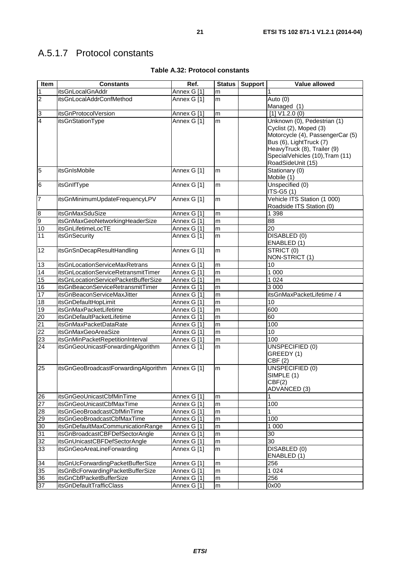## A.5.1.7 Protocol constants

| Item            | <b>Constants</b>                     | Ref.        | <b>Status</b> | <b>Support</b> | <b>Value allowed</b>                                           |
|-----------------|--------------------------------------|-------------|---------------|----------------|----------------------------------------------------------------|
| $\mathbf{1}$    | itsGnLocalGnAddr                     | Annex G [1] | m             |                |                                                                |
| $\overline{2}$  | itsGnLocalAddrConfMethod             | Annex G [1] | m             |                | Auto (0)                                                       |
|                 |                                      |             |               |                | Managed (1)                                                    |
| 3               | itsGnProtocolVersion                 | Annex G [1] | m             |                | [1] V1.2.0 (0)                                                 |
| 4               | itsGnStationType                     | Annex G [1] | m             |                | Unknown (0), Pedestrian (1)                                    |
|                 |                                      |             |               |                | Cyclist (2), Moped (3)                                         |
|                 |                                      |             |               |                | Motorcycle (4), PassengerCar (5)                               |
|                 |                                      |             |               |                | Bus (6), LightTruck (7)                                        |
|                 |                                      |             |               |                | HeavyTruck (8), Trailer (9)<br>SpecialVehicles (10), Tram (11) |
|                 |                                      |             |               |                | RoadSideUnit (15)                                              |
| $\overline{5}$  | <b>itsGnIsMobile</b>                 | Annex G [1] | m             |                | Stationary (0)                                                 |
|                 |                                      |             |               |                | Mobile (1)                                                     |
| $6\phantom{.}6$ | itsGnIfType                          | Annex G [1] | m             |                | Unspecified (0)                                                |
|                 |                                      |             |               |                | ITS-G5 (1)                                                     |
| $\overline{7}$  | itsGnMinimumUpdateFrequencyLPV       | Annex G [1] | m             |                | Vehicle ITS Station (1 000)                                    |
|                 |                                      |             |               |                | Roadside ITS Station (0)                                       |
| $\overline{8}$  | itsGnMaxSduSize                      | Annex G [1] | m             |                | 1 3 9 8                                                        |
| $\overline{9}$  | itsGnMaxGeoNetworkingHeaderSize      | Annex G [1] | m             |                | 88                                                             |
| 10              | itsGnLifetimeLocTE                   | Annex G [1] | m             |                | 20                                                             |
| 11              | itsGnSecurity                        | Annex G [1] | m             |                | DISABLED (0)                                                   |
|                 |                                      |             |               |                | ENABLED (1)                                                    |
| 12              | itsGnSnDecapResultHandling           | Annex G [1] | m             |                | STRICT (0)<br>NON-STRICT (1)                                   |
| 13              | itsGnLocationServiceMaxRetrans       | Annex G [1] | m             |                | 10                                                             |
| 14              | itsGnLocationServiceRetransmitTimer  | Annex G [1] | m             |                | 1 0 0 0                                                        |
| 15              | itsGnLocationServicePacketBufferSize | Annex G [1] | m             |                | 1 0 2 4                                                        |
| 16              | itsGnBeaconServiceRetransmitTimer    | Annex G [1] | m             |                | 3 0 0 0                                                        |
| 17              | itsGnBeaconServiceMaxJitter          | Annex G [1] | m             |                | itsGnMaxPacketLifetime / 4                                     |
| 18              | itsGnDefaultHopLimit                 | Annex G [1] | m             |                | 10                                                             |
| 19              | itsGnMaxPacketLifetime               | Annex G [1] | m             |                | 600                                                            |
| $\overline{20}$ | itsGnDefaultPacketLifetime           | Annex G [1] | m             |                | 60                                                             |
| 21              | litsGnMaxPacketDataRate              | Annex G [1] | m             |                | 100                                                            |
| 22              | itsGnMaxGeoAreaSize                  | Annex G [1] | ${\sf m}$     |                | 10                                                             |
| 23              | itsGnMinPacketRepetitionInterval     | Annex G [1] | m             |                | 100                                                            |
| 24              | itsGnGeoUnicastForwardingAlgorithm   | Annex G [1] | m             |                | UNSPECIFIED (0)                                                |
|                 |                                      |             |               |                | GREEDY (1)                                                     |
|                 |                                      |             |               |                | CBF(2)                                                         |
| 25              | itsGnGeoBroadcastForwardingAlgorithm | Annex G [1] | m             |                | UNSPECIFIED (0)                                                |
|                 |                                      |             |               |                | SIMPLE (1)                                                     |
|                 |                                      |             |               |                | CBF(2)<br>ADVANCED (3)                                         |
| 26              | itsGnGeoUnicastCbfMinTime            | Annex G [1] | ${\sf m}$     |                |                                                                |
| 27              | itsGnGeoUnicastCbfMaxTime            | Annex G [1] | m             |                | 100                                                            |
| 28              | itsGnGeoBroadcastCbfMinTime          | Annex G [1] | m             |                | $\mathbf{1}$                                                   |
| 29              | itsGnGeoBroadcastCbfMaxTime          | Annex G [1] | m             |                | 100                                                            |
| 30              | itsGnDefaultMaxCommunicationRange    | Annex G [1] | m             |                | 1 0 0 0                                                        |
| 31              | itsGnBroadcastCBFDefSectorAngle      | Annex G [1] | ${\sf m}$     |                | $\overline{30}$                                                |
| 32              | itsGnUnicastCBFDefSectorAngle        | Annex G [1] | ${\sf m}$     |                | 30                                                             |
| 33              | itsGnGeoAreaLineForwarding           | Annex G [1] | m             |                | DISABLED (0)                                                   |
|                 |                                      |             |               |                | ENABLED (1)                                                    |
| 34              | itsGnUcForwardingPacketBufferSize    | Annex G [1] | m             |                | 256                                                            |
| 35              | itsGnBcForwardingPacketBufferSize    | Annex G [1] | m             |                | 1 0 2 4                                                        |
| 36              | itsGnCbfPacketBufferSize             | Annex G [1] | ${\sf m}$     |                | 256                                                            |
| $\overline{37}$ | itsGnDefaultTrafficClass             | Annex G [1] | m             |                | 0x00                                                           |

### **Table A.32: Protocol constants**